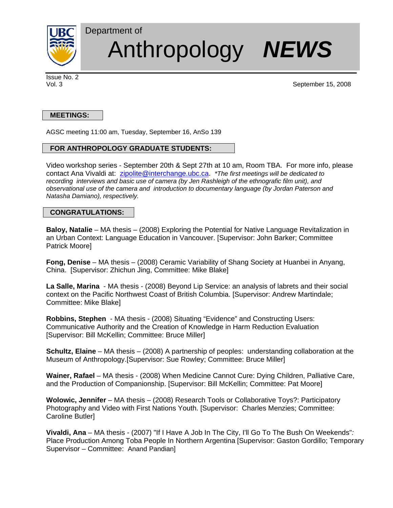

# Department of Anthropology *NEWS*

Issue No. 2

Vol. 3 September 15, 2008

## **MEETINGS:**

AGSC meeting 11:00 am, Tuesday, September 16, AnSo 139

# **FOR ANTHROPOLOGY GRADUATE STUDENTS:**

Video workshop series - September 20th & Sept 27th at 10 am, Room TBA.For more info, please contact Ana Vivaldi at: zipolite@interchange.ubc.ca. *\*The first meetings will be dedicated to recording interviews and basic use of camera (by Jen Rashleigh of the ethnografic film unit), and observational use of the camera and introduction to documentary language (by Jordan Paterson and Natasha Damiano), respectively.* 

## **CONGRATULATIONS:**

**Baloy, Natalie** – MA thesis – (2008) Exploring the Potential for Native Language Revitalization in an Urban Context: Language Education in Vancouver. [Supervisor: John Barker; Committee Patrick Moore]

**Fong, Denise** – MA thesis – (2008) Ceramic Variability of Shang Society at Huanbei in Anyang, China. [Supervisor: Zhichun Jing, Committee: Mike Blake]

**La Salle, Marina** - MA thesis - (2008) Beyond Lip Service: an analysis of labrets and their social context on the Pacific Northwest Coast of British Columbia. [Supervisor: Andrew Martindale; Committee: Mike Blake]

**Robbins, Stephen** - MA thesis - (2008) Situating "Evidence" and Constructing Users: Communicative Authority and the Creation of Knowledge in Harm Reduction Evaluation [Supervisor: Bill McKellin; Committee: Bruce Miller]

**Schultz, Elaine** – MA thesis – (2008) A partnership of peoples: understanding collaboration at the Museum of Anthropology.[Supervisor: Sue Rowley; Committee: Bruce Miller]

**Wainer, Rafael** – MA thesis - (2008) When Medicine Cannot Cure: Dying Children, Palliative Care, and the Production of Companionship. [Supervisor: Bill McKellin; Committee: Pat Moore]

**Wolowic, Jennifer** – MA thesis – (2008) Research Tools or Collaborative Toys?: Participatory Photography and Video with First Nations Youth. [Supervisor: Charles Menzies; Committee: Caroline Butler]

**Vivaldi, Ana** – MA thesis - (2007) "If I Have A Job In The City, I'll Go To The Bush On Weekends"*:* Place Production Among Toba People In Northern Argentina [Supervisor: Gaston Gordillo; Temporary Supervisor – Committee: Anand Pandian]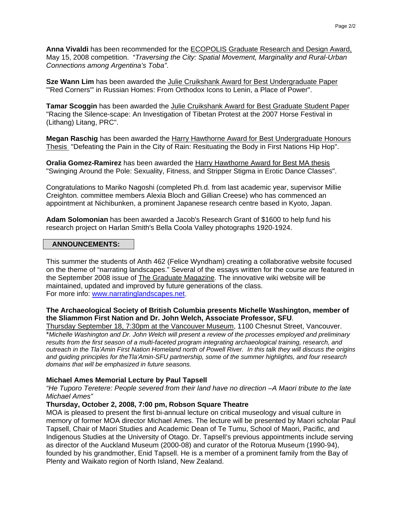**Anna Vivaldi** has been recommended for the ECOPOLIS Graduate Research and Design Award, May 15, 2008 competition. "*Traversing the City: Spatial Movement, Marginality and Rural-Urban Connections among Argentina's Toba"*.

**Sze Wann Lim** has been awarded the Julie Cruikshank Award for Best Undergraduate Paper "'Red Corners'" in Russian Homes: From Orthodox Icons to Lenin, a Place of Power".

**Tamar Scoggin** has been awarded the Julie Cruikshank Award for Best Graduate Student Paper "Racing the Silence-scape: An Investigation of Tibetan Protest at the 2007 Horse Festival in (Lithang) Litang, PRC".

**Megan Raschig** has been awarded the Harry Hawthorne Award for Best Undergraduate Honours Thesis "Defeating the Pain in the City of Rain: Resituating the Body in First Nations Hip Hop".

**Oralia Gomez-Ramirez** has been awarded the Harry Hawthorne Award for Best MA thesis "Swinging Around the Pole: Sexuality, Fitness, and Stripper Stigma in Erotic Dance Classes".

Congratulations to Mariko Nagoshi (completed Ph.d. from last academic year, supervisor Millie Creighton. committee members Alexia Bloch and Gillian Creese) who has commenced an appointment at Nichibunken, a prominent Japanese research centre based in Kyoto, Japan.

**Adam Solomonian** has been awarded a Jacob's Research Grant of \$1600 to help fund his research project on Harlan Smith's Bella Coola Valley photographs 1920-1924.

#### **ANNOUNCEMENTS:**

This summer the students of Anth 462 (Felice Wyndham) creating a collaborative website focused on the theme of "narrating landscapes." Several of the essays written for the course are featured in the September 2008 issue of The Graduate Magazine. The innovative wiki website will be maintained, updated and improved by future generations of the class. For more info: www.narratinglandscapes.net.

## **The Archaeological Society of British Columbia presents Michelle Washington, member of the Sliammon First Nation and Dr. John Welch, Associate Professor, SFU**.

Thursday September 18, 7:30pm at the Vancouver Museum, 1100 Chesnut Street, Vancouver. \**Michelle Washington and Dr. John Welch will present a review of the processes employed and preliminary results from the first season of a multi-faceted program integrating archaeological training, research, and outreach in the Tla'Amin First Nation Homeland north of Powell River. In this talk they will discuss the origins and guiding principles for theTla'Amin-SFU partnership, some of the summer highlights, and four research domains that will be emphasized in future seasons.*

#### **Michael Ames Memorial Lecture by Paul Tapsell**

*"He Tuporo Teretere: People severed from their land have no direction –A Maori tribute to the late Michael Ames"* 

#### **Thursday, October 2, 2008, 7:00 pm, Robson Square Theatre**

MOA is pleased to present the first bi-annual lecture on critical museology and visual culture in memory of former MOA director Michael Ames. The lecture will be presented by Maori scholar Paul Tapsell, Chair of Maori Studies and Academic Dean of Te Tumu, School of Maori, Pacific, and Indigenous Studies at the University of Otago. Dr. Tapsell's previous appointments include serving as director of the Auckland Museum (2000-08) and curator of the Rotorua Museum (1990-94), founded by his grandmother, Enid Tapsell. He is a member of a prominent family from the Bay of Plenty and Waikato region of North Island, New Zealand.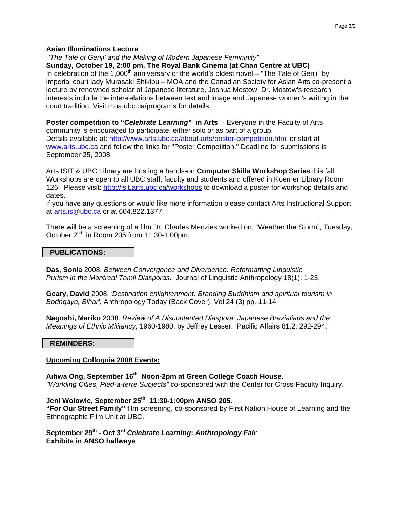## **Asian Illuminations Lecture**

*"'The Tale of Genji' and the Making of Modern Japanese Femininity"* 

**Sunday, October 19, 2:00 pm, The Royal Bank Cinema (at Chan Centre at UBC)** 

In celebration of the 1,000<sup>th</sup> anniversary of the world's oldest novel – "The Tale of Genji" by imperial court lady Murasaki Shikibu – MOA and the Canadian Society for Asian Arts co-present a lecture by renowned scholar of Japanese literature, Joshua Mostow. Dr. Mostow's research interests include the inter-relations between text and image and Japanese women's writing in the court tradition. Visit moa.ubc.ca/programs for details.

**Poster competition to "***Celebrate Learning"* **in Arts** - Everyone in the Faculty of Arts community is encouraged to participate, either solo or as part of a group. Details available at: http://www.arts.ubc.ca/about-arts/poster-competition.html or start at www.arts.ubc.ca and follow the links for "Poster Competition." Deadline for submissions is September 25, 2008.

Arts ISIT & UBC Library are hosting a hands-on **Computer Skills Workshop Series** this fall. Workshops are open to all UBC staff, faculty and students and offered in Koerner Library Room 126. Please visit: http://isit.arts.ubc.ca/workshops to download a poster for workshop details and dates.

If you have any questions or would like more information please contact Arts Instructional Support at arts.is@ubc.ca or at 604.822.1377.

There will be a screening of a film Dr. Charles Menzies worked on, "Weather the Storm", Tuesday, October 2<sup>nd</sup> in Room 205 from 11:30-1:00pm.

## **PUBLICATIONS:**

**Das, Sonia** 2008. *Between Convergence and Divergence: Reformatting Linguistic Purism in the Montreal Tamil Diasporas.* Journal of Linguistic Anthropology 18(1): 1-23.

**Geary, David** 2008. *'Destination enlightenment: Branding Buddhism and spiritual tourism in Bodhgaya, Bihar'*, Anthropology Today (Back Cover), Vol 24 (3) pp. 11-14

**Nagoshi, Mariko** 2008. *Review of A Discontented Diaspora: Japanese Brazialians and the Meanings of Ethnic Militancy*, 1960-1980, by Jeffrey Lesser. Pacific Affairs 81.2: 292-294.

#### **REMINDERS:**

## **Upcoming Colloquia 2008 Events:**

Aihwa Ong, September 16<sup>th</sup> Noon-2pm at Green College Coach House. *"Worlding Cities, Pied-a-terre Subjects"* co-sponsored with the Center for Cross-Faculty Inquiry.

**Jeni Wolowic, September 25th 11:30-1:00pm ANSO 205. "For Our Street Family"** film screening, co-sponsored by First Nation House of Learning and the Ethnographic Film Unit at UBC.

**September 29th - Oct 3rd** *Celebrate Learning***:** *Anthropology Fair* **Exhibits in ANSO hallways**